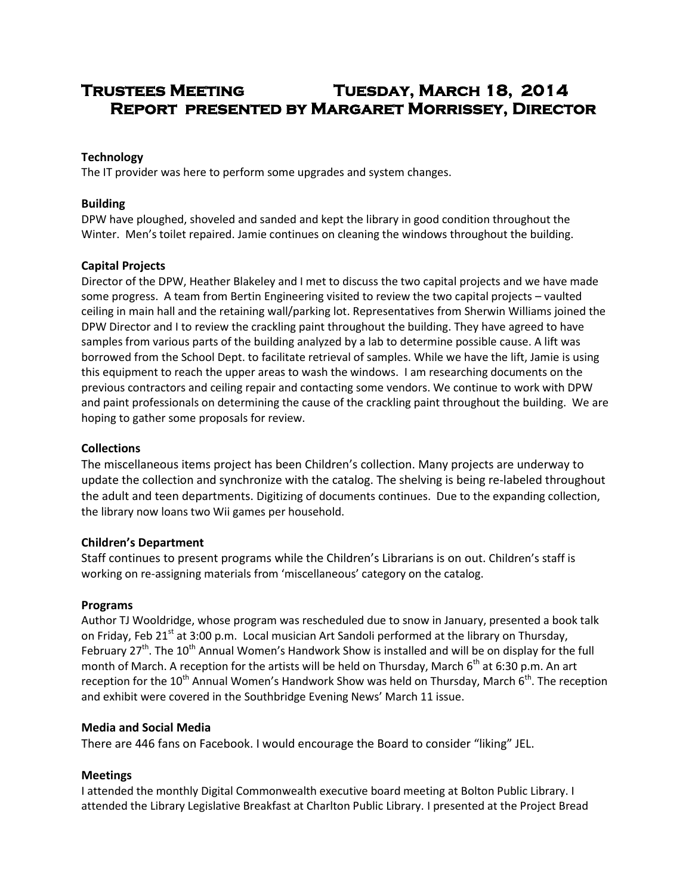# **Trustees Meeting Tuesday, March 18, 2014 Report presented by Margaret Morrissey, Director**

# **Technology**

The IT provider was here to perform some upgrades and system changes.

## **Building**

DPW have ploughed, shoveled and sanded and kept the library in good condition throughout the Winter. Men's toilet repaired. Jamie continues on cleaning the windows throughout the building.

## **Capital Projects**

Director of the DPW, Heather Blakeley and I met to discuss the two capital projects and we have made some progress. A team from Bertin Engineering visited to review the two capital projects – vaulted ceiling in main hall and the retaining wall/parking lot. Representatives from Sherwin Williams joined the DPW Director and I to review the crackling paint throughout the building. They have agreed to have samples from various parts of the building analyzed by a lab to determine possible cause. A lift was borrowed from the School Dept. to facilitate retrieval of samples. While we have the lift, Jamie is using this equipment to reach the upper areas to wash the windows. I am researching documents on the previous contractors and ceiling repair and contacting some vendors. We continue to work with DPW and paint professionals on determining the cause of the crackling paint throughout the building. We are hoping to gather some proposals for review.

## **Collections**

The miscellaneous items project has been Children's collection. Many projects are underway to update the collection and synchronize with the catalog. The shelving is being re-labeled throughout the adult and teen departments. Digitizing of documents continues. Due to the expanding collection, the library now loans two Wii games per household.

## **Children's Department**

Staff continues to present programs while the Children's Librarians is on out. Children's staff is working on re-assigning materials from 'miscellaneous' category on the catalog.

## **Programs**

Author TJ Wooldridge, whose program was rescheduled due to snow in January, presented a book talk on Friday, Feb 21<sup>st</sup> at 3:00 p.m. Local musician Art Sandoli performed at the library on Thursday, February  $27<sup>th</sup>$ . The  $10<sup>th</sup>$  Annual Women's Handwork Show is installed and will be on display for the full month of March. A reception for the artists will be held on Thursday, March  $6<sup>th</sup>$  at 6:30 p.m. An art reception for the 10<sup>th</sup> Annual Women's Handwork Show was held on Thursday, March  $6<sup>th</sup>$ . The reception and exhibit were covered in the Southbridge Evening News' March 11 issue.

## **Media and Social Media**

There are 446 fans on Facebook. I would encourage the Board to consider "liking" JEL.

## **Meetings**

I attended the monthly Digital Commonwealth executive board meeting at Bolton Public Library. I attended the Library Legislative Breakfast at Charlton Public Library. I presented at the Project Bread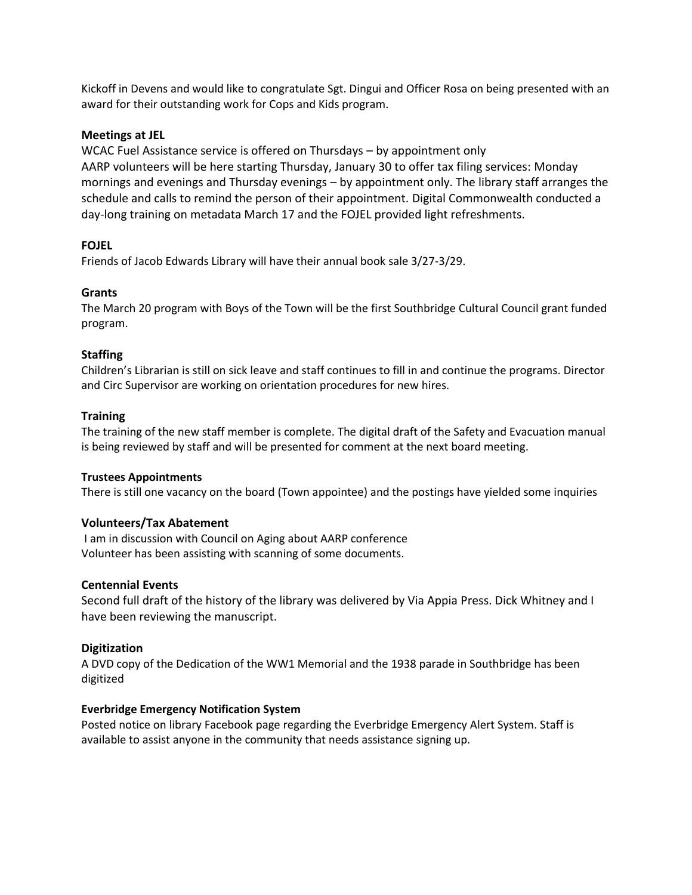Kickoff in Devens and would like to congratulate Sgt. Dingui and Officer Rosa on being presented with an award for their outstanding work for Cops and Kids program.

## **Meetings at JEL**

WCAC Fuel Assistance service is offered on Thursdays – by appointment only AARP volunteers will be here starting Thursday, January 30 to offer tax filing services: Monday mornings and evenings and Thursday evenings – by appointment only. The library staff arranges the schedule and calls to remind the person of their appointment. Digital Commonwealth conducted a day-long training on metadata March 17 and the FOJEL provided light refreshments.

# **FOJEL**

Friends of Jacob Edwards Library will have their annual book sale 3/27-3/29.

# **Grants**

The March 20 program with Boys of the Town will be the first Southbridge Cultural Council grant funded program.

# **Staffing**

Children's Librarian is still on sick leave and staff continues to fill in and continue the programs. Director and Circ Supervisor are working on orientation procedures for new hires.

# **Training**

The training of the new staff member is complete. The digital draft of the Safety and Evacuation manual is being reviewed by staff and will be presented for comment at the next board meeting.

## **Trustees Appointments**

There is still one vacancy on the board (Town appointee) and the postings have yielded some inquiries

## **Volunteers/Tax Abatement**

I am in discussion with Council on Aging about AARP conference Volunteer has been assisting with scanning of some documents.

## **Centennial Events**

Second full draft of the history of the library was delivered by Via Appia Press. Dick Whitney and I have been reviewing the manuscript.

## **Digitization**

A DVD copy of the Dedication of the WW1 Memorial and the 1938 parade in Southbridge has been digitized

## **Everbridge Emergency Notification System**

Posted notice on library Facebook page regarding the Everbridge Emergency Alert System. Staff is available to assist anyone in the community that needs assistance signing up.